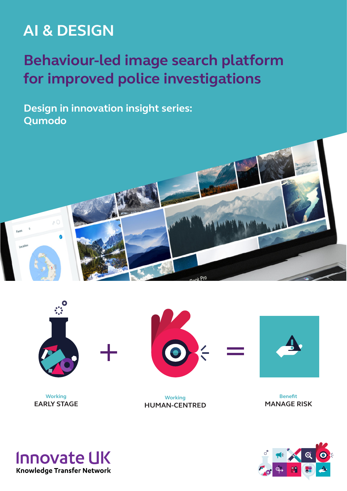# **AI & DESIGN**

# **Behaviour-led image search platform for improved police investigations**

**Design in innovation insight series: Qumodo**





**Working EARLY STAGE**





**Benefit MANAGE RISK**